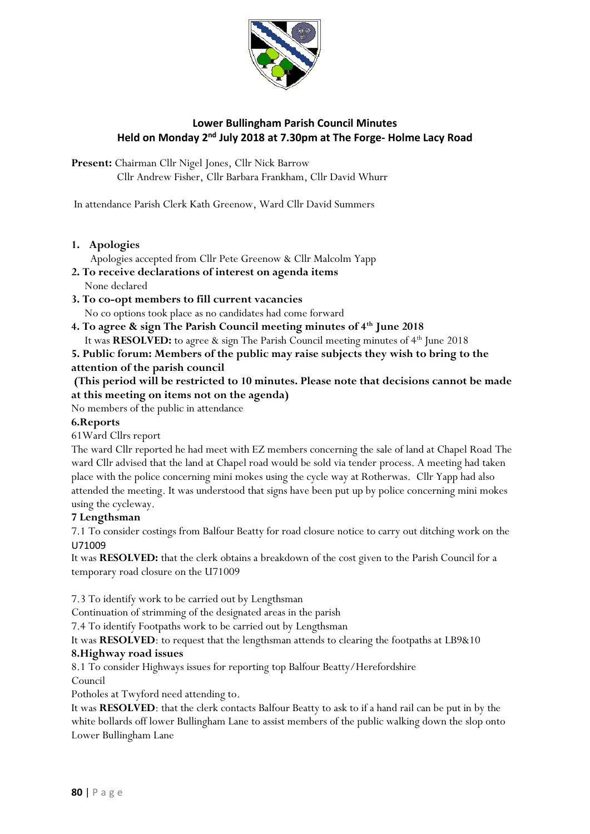

# **Lower Bullingham Parish Council Minutes** Held on Monday 2<sup>nd</sup> July 2018 at 7.30pm at The Forge- Holme Lacy Road

**Present:** Chairman Cllr Nigel Jones, Cllr Nick Barrow Cllr Andrew Fisher, Cllr Barbara Frankham, Cllr David Whurr

In attendance Parish Clerk Kath Greenow, Ward Cllr David Summers

#### **1. Apologies**

Apologies accepted from Cllr Pete Greenow & Cllr Malcolm Yapp

- **2. To receive declarations of interest on agenda items**
	- None declared

**3. To co-opt members to fill current vacancies**  No co options took place as no candidates had come forward

**4. To agree & sign The Parish Council meeting minutes of 4th June 2018** It was **RESOLVED:** to agree & sign The Parish Council meeting minutes of 4<sup>th</sup> June 2018

**5. Public forum: Members of the public may raise subjects they wish to bring to the attention of the parish council**

## **(This period will be restricted to 10 minutes. Please note that decisions cannot be made at this meeting on items not on the agenda)**

No members of the public in attendance

### **6.Reports**

61Ward Cllrs report

The ward Cllr reported he had meet with EZ members concerning the sale of land at Chapel Road The ward Cllr advised that the land at Chapel road would be sold via tender process. A meeting had taken place with the police concerning mini mokes using the cycle way at Rotherwas. Cllr Yapp had also attended the meeting. It was understood that signs have been put up by police concerning mini mokes using the cycleway.

### **7 Lengthsman**

7.1 To consider costings from Balfour Beatty for road closure notice to carry out ditching work on the U71009

It was **RESOLVED:** that the clerk obtains a breakdown of the cost given to the Parish Council for a temporary road closure on the U71009

7.3 To identify work to be carried out by Lengthsman

Continuation of strimming of the designated areas in the parish

7.4 To identify Footpaths work to be carried out by Lengthsman

It was **RESOLVED**: to request that the lengthsman attends to clearing the footpaths at LB9&10

### **8.Highway road issues**

8.1 To consider Highways issues for reporting top Balfour Beatty/Herefordshire

Council

Potholes at Twyford need attending to.

It was **RESOLVED**: that the clerk contacts Balfour Beatty to ask to if a hand rail can be put in by the white bollards off lower Bullingham Lane to assist members of the public walking down the slop onto Lower Bullingham Lane